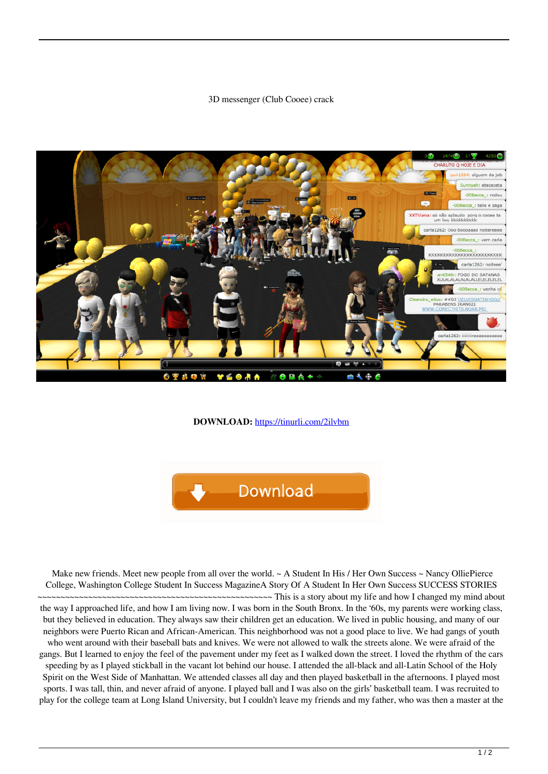## 3D messenger (Club Cooee) crack



## **DOWNLOAD:** <https://tinurli.com/2ilvbm>



Make new friends. Meet new people from all over the world. ~ A Student In His / Her Own Success ~ Nancy OlliePierce College, Washington College Student In Success MagazineA Story Of A Student In Her Own Success SUCCESS STORIES

~ This is a story about my life and how I changed my mind about the way I approached life, and how I am living now. I was born in the South Bronx. In the '60s, my parents were working class, but they believed in education. They always saw their children get an education. We lived in public housing, and many of our neighbors were Puerto Rican and African-American. This neighborhood was not a good place to live. We had gangs of youth who went around with their baseball bats and knives. We were not allowed to walk the streets alone. We were afraid of the gangs. But I learned to enjoy the feel of the pavement under my feet as I walked down the street. I loved the rhythm of the cars speeding by as I played stickball in the vacant lot behind our house. I attended the all-black and all-Latin School of the Holy Spirit on the West Side of Manhattan. We attended classes all day and then played basketball in the afternoons. I played most sports. I was tall, thin, and never afraid of anyone. I played ball and I was also on the girls' basketball team. I was recruited to play for the college team at Long Island University, but I couldn't leave my friends and my father, who was then a master at the